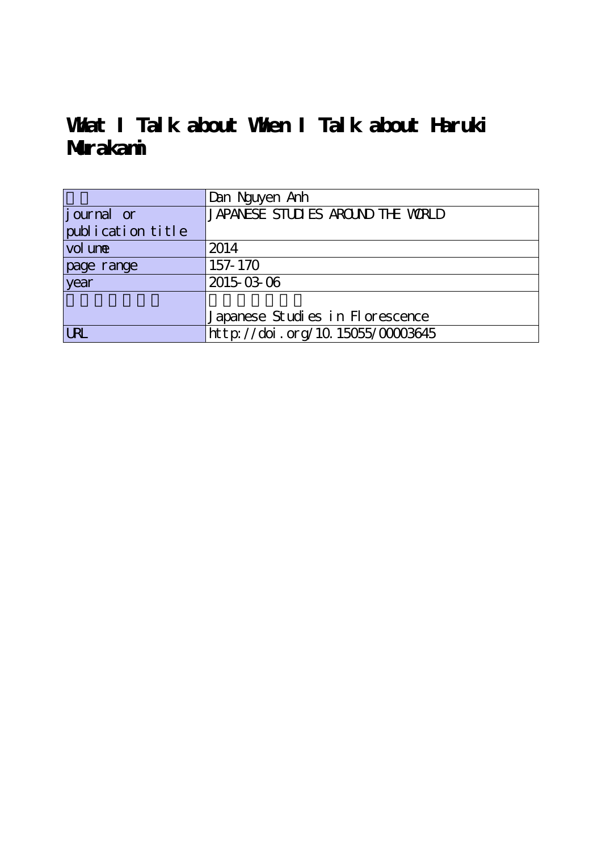# **What I Talk about When I Talk about Haruki Murakami**

|                     | Dan Nguyen Anh                    |
|---------------------|-----------------------------------|
| journal or          | JAPANESE STUDIES AROUND THE WORLD |
| publication title   |                                   |
| vol un <del>e</del> | 2014                              |
| page range          | 157-170                           |
| year                | 2015-03-06                        |
|                     |                                   |
|                     | Japanese Studies in Florescence   |
| <b>LRL</b>          | http://doi.org/10.15055/00003645  |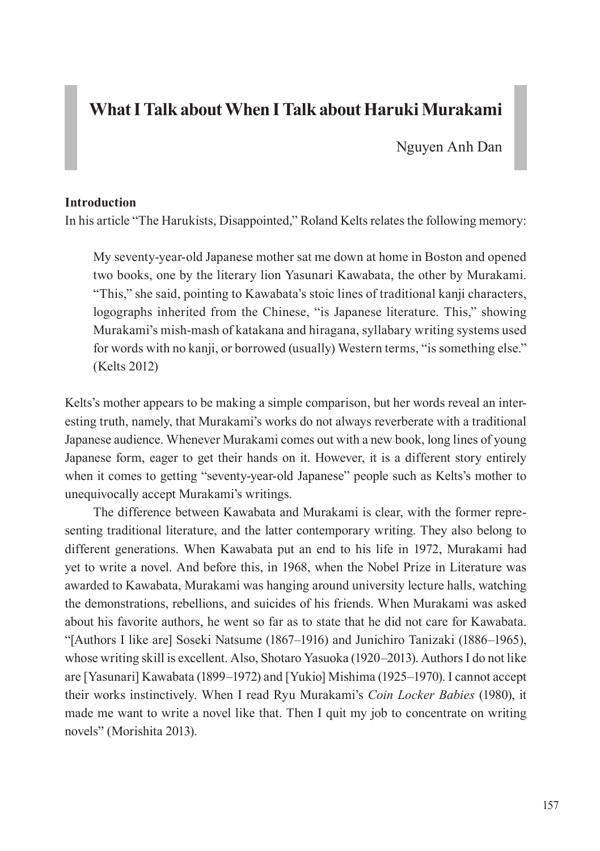# **What I Talk about When I Talk about Haruki Murakami**

Nguyen Anh Dan

#### **Introduction**

In his article "The Harukists, Disappointed," Roland Kelts relates the following memory:

My seventy-year-old Japanese mother sat me down at home in Boston and opened two books, one by the literary lion Yasunari Kawabata, the other by Murakami. "This," she said, pointing to Kawabata's stoic lines of traditional kanji characters, logographs inherited from the Chinese, "is Japanese literature. This," showing Murakami's mish-mash of katakana and hiragana, syllabary writing systems used for words with no kanji, or borrowed (usually) Western terms, "is something else." (Kelts 2012)

Kelts's mother appears to be making a simple comparison, but her words reveal an interesting truth, namely, that Murakami's works do not always reverberate with a traditional Japanese audience. Whenever Murakami comes out with a new book, long lines of young Japanese form, eager to get their hands on it. However, it is a different story entirely when it comes to getting "seventy-year-old Japanese" people such as Kelts's mother to unequivocally accept Murakami's writings.

The difference between Kawabata and Murakami is clear, with the former representing traditional literature, and the latter contemporary writing. They also belong to different generations. When Kawabata put an end to his life in 1972, Murakami had yet to write a novel. And before this, in 1968, when the Nobel Prize in Literature was awarded to Kawabata, Murakami was hanging around university lecture halls, watching the demonstrations, rebellions, and suicides of his friends. When Murakami was asked about his favorite authors, he went so far as to state that he did not care for Kawabata. "[Authors I like are] Soseki Natsume (1867–1916) and Junichiro Tanizaki (1886–1965), whose writing skill is excellent. Also, Shotaro Yasuoka (1920–2013). Authors I do not like are [Yasunari] Kawabata (1899–1972) and [Yukio] Mishima (1925–1970). I cannot accept their works instinctively. When I read Ryu Murakami's *Coin Locker Babies* (1980), it made me want to write a novel like that. Then I quit my job to concentrate on writing novels" (Morishita 2013).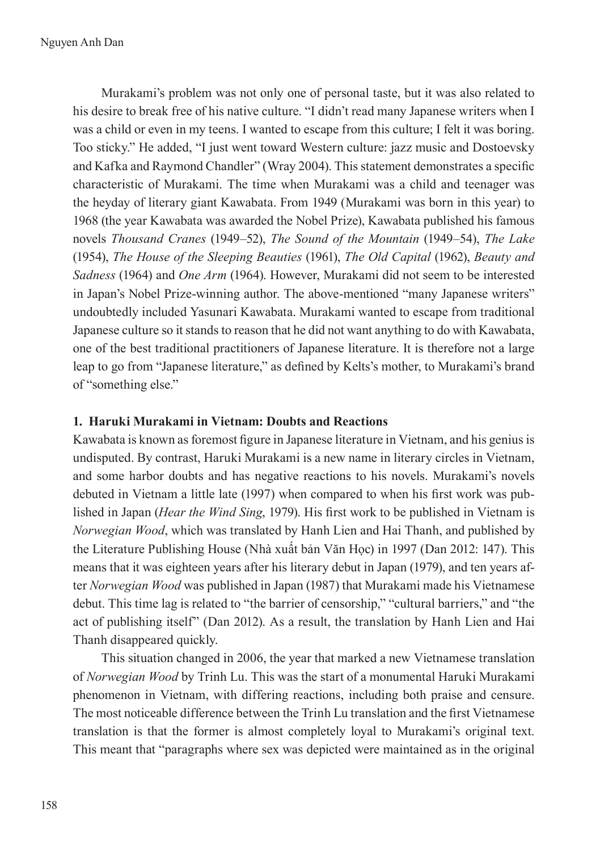Murakami's problem was not only one of personal taste, but it was also related to his desire to break free of his native culture. "I didn't read many Japanese writers when I was a child or even in my teens. I wanted to escape from this culture; I felt it was boring. Too sticky." He added, "I just went toward Western culture: jazz music and Dostoevsky and Kafka and Raymond Chandler" (Wray 2004). This statement demonstrates a specific characteristic of Murakami. The time when Murakami was a child and teenager was the heyday of literary giant Kawabata. From 1949 (Murakami was born in this year) to 1968 (the year Kawabata was awarded the Nobel Prize), Kawabata published his famous novels *Thousand Cranes* (1949–52), *The Sound of the Mountain* (1949–54), *The Lake* (1954), *The House of the Sleeping Beauties* (1961), *The Old Capital* (1962), *Beauty and Sadness* (1964) and *One Arm* (1964). However, Murakami did not seem to be interested in Japan's Nobel Prize-winning author. The above-mentioned "many Japanese writers" undoubtedly included Yasunari Kawabata. Murakami wanted to escape from traditional Japanese culture so it stands to reason that he did not want anything to do with Kawabata, one of the best traditional practitioners of Japanese literature. It is therefore not a large leap to go from "Japanese literature," as defined by Kelts's mother, to Murakami's brand of "something else."

# **1. Haruki Murakami in Vietnam: Doubts and Reactions**

Kawabata is known as foremost figure in Japanese literature in Vietnam, and his genius is undisputed. By contrast, Haruki Murakami is a new name in literary circles in Vietnam, and some harbor doubts and has negative reactions to his novels. Murakami's novels debuted in Vietnam a little late (1997) when compared to when his first work was published in Japan (*Hear the Wind Sing*, 1979). His first work to be published in Vietnam is *Norwegian Wood*, which was translated by Hanh Lien and Hai Thanh, and published by the Literature Publishing House (Nhà xuất bản Văn Học) in 1997 (Dan 2012: 147). This means that it was eighteen years after his literary debut in Japan (1979), and ten years after *Norwegian Wood* was published in Japan (1987) that Murakami made his Vietnamese debut. This time lag is related to "the barrier of censorship," "cultural barriers," and "the act of publishing itself" (Dan 2012). As a result, the translation by Hanh Lien and Hai Thanh disappeared quickly.

This situation changed in 2006, the year that marked a new Vietnamese translation of *Norwegian Wood* by Trinh Lu. This was the start of a monumental Haruki Murakami phenomenon in Vietnam, with differing reactions, including both praise and censure. The most noticeable difference between the Trinh Lu translation and the first Vietnamese translation is that the former is almost completely loyal to Murakami's original text. This meant that "paragraphs where sex was depicted were maintained as in the original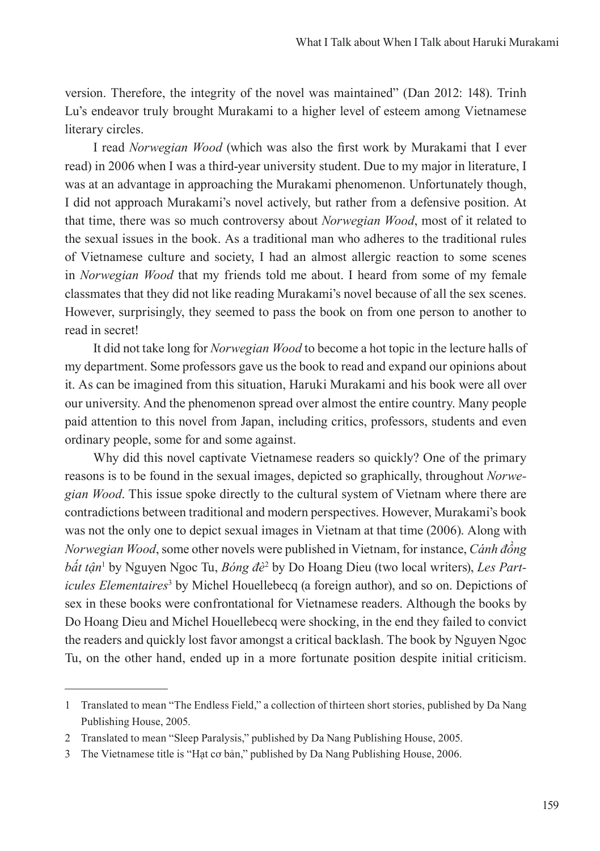version. Therefore, the integrity of the novel was maintained" (Dan 2012: 148). Trinh Lu's endeavor truly brought Murakami to a higher level of esteem among Vietnamese literary circles.

I read *Norwegian Wood* (which was also the first work by Murakami that I ever read) in 2006 when I was a third-year university student. Due to my major in literature, I was at an advantage in approaching the Murakami phenomenon. Unfortunately though, I did not approach Murakami's novel actively, but rather from a defensive position. At that time, there was so much controversy about *Norwegian Wood*, most of it related to the sexual issues in the book. As a traditional man who adheres to the traditional rules of Vietnamese culture and society, I had an almost allergic reaction to some scenes in *Norwegian Wood* that my friends told me about. I heard from some of my female classmates that they did not like reading Murakami's novel because of all the sex scenes. However, surprisingly, they seemed to pass the book on from one person to another to read in secret!

It did not take long for *Norwegian Wood* to become a hot topic in the lecture halls of my department. Some professors gave us the book to read and expand our opinions about it. As can be imagined from this situation, Haruki Murakami and his book were all over our university. And the phenomenon spread over almost the entire country. Many people paid attention to this novel from Japan, including critics, professors, students and even ordinary people, some for and some against.

Why did this novel captivate Vietnamese readers so quickly? One of the primary reasons is to be found in the sexual images, depicted so graphically, throughout *Norwegian Wood*. This issue spoke directly to the cultural system of Vietnam where there are contradictions between traditional and modern perspectives. However, Murakami's book was not the only one to depict sexual images in Vietnam at that time (2006). Along with *Norwegian Wood*, some other novels were published in Vietnam, for instance, *Cánh đồng bất tận*<sup>1</sup> by Nguyen Ngoc Tu, *Bóng đè*<sup>2</sup> by Do Hoang Dieu (two local writers), *Les Part*icules Elementaires<sup>3</sup> by Michel Houellebecq (a foreign author), and so on. Depictions of sex in these books were confrontational for Vietnamese readers. Although the books by Do Hoang Dieu and Michel Houellebecq were shocking, in the end they failed to convict the readers and quickly lost favor amongst a critical backlash. The book by Nguyen Ngoc Tu, on the other hand, ended up in a more fortunate position despite initial criticism.

<sup>1</sup> Translated to mean "The Endless Field," a collection of thirteen short stories, published by Da Nang Publishing House, 2005.

<sup>2</sup> Translated to mean "Sleep Paralysis," published by Da Nang Publishing House, 2005.

<sup>3</sup> The Vietnamese title is "Hạt cơ bản," published by Da Nang Publishing House, 2006.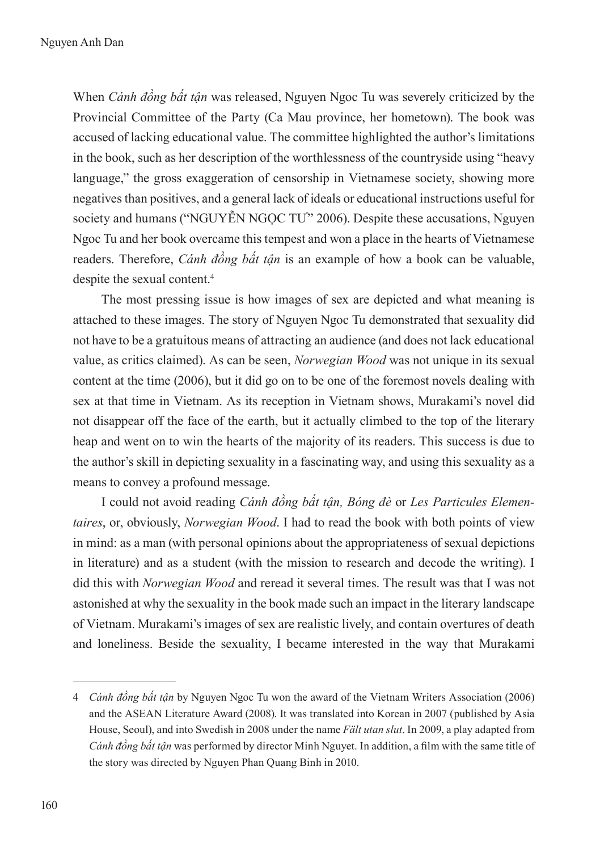When *Cánh đồng bất tận* was released, Nguyen Ngoc Tu was severely criticized by the Provincial Committee of the Party (Ca Mau province, her hometown). The book was accused of lacking educational value. The committee highlighted the author's limitations in the book, such as her description of the worthlessness of the countryside using "heavy language," the gross exaggeration of censorship in Vietnamese society, showing more negatives than positives, and a general lack of ideals or educational instructions useful for society and humans ("NGUYỄN NGỌC TƯ" 2006). Despite these accusations, Nguyen Ngoc Tu and her book overcame this tempest and won a place in the hearts of Vietnamese readers. Therefore, *Cánh đồng bất tận* is an example of how a book can be valuable, despite the sexual content.4

The most pressing issue is how images of sex are depicted and what meaning is attached to these images. The story of Nguyen Ngoc Tu demonstrated that sexuality did not have to be a gratuitous means of attracting an audience (and does not lack educational value, as critics claimed). As can be seen, *Norwegian Wood* was not unique in its sexual content at the time (2006), but it did go on to be one of the foremost novels dealing with sex at that time in Vietnam. As its reception in Vietnam shows, Murakami's novel did not disappear off the face of the earth, but it actually climbed to the top of the literary heap and went on to win the hearts of the majority of its readers. This success is due to the author's skill in depicting sexuality in a fascinating way, and using this sexuality as a means to convey a profound message.

I could not avoid reading *Cánh đồng bất tận, Bóng đè* or *Les Particules Elementaires*, or, obviously, *Norwegian Wood*. I had to read the book with both points of view in mind: as a man (with personal opinions about the appropriateness of sexual depictions in literature) and as a student (with the mission to research and decode the writing). I did this with *Norwegian Wood* and reread it several times. The result was that I was not astonished at why the sexuality in the book made such an impact in the literary landscape of Vietnam. Murakami's images of sex are realistic lively, and contain overtures of death and loneliness. Beside the sexuality, I became interested in the way that Murakami

<sup>4</sup> *Cánh đồng bất tận* by Nguyen Ngoc Tu won the award of the Vietnam Writers Association (2006) and the ASEAN Literature Award (2008). It was translated into Korean in 2007 (published by Asia House, Seoul), and into Swedish in 2008 under the name *Fält utan slut*. In 2009, a play adapted from *Cánh đồng bất tận* was performed by director Minh Nguyet. In addition, a film with the same title of the story was directed by Nguyen Phan Quang Binh in 2010.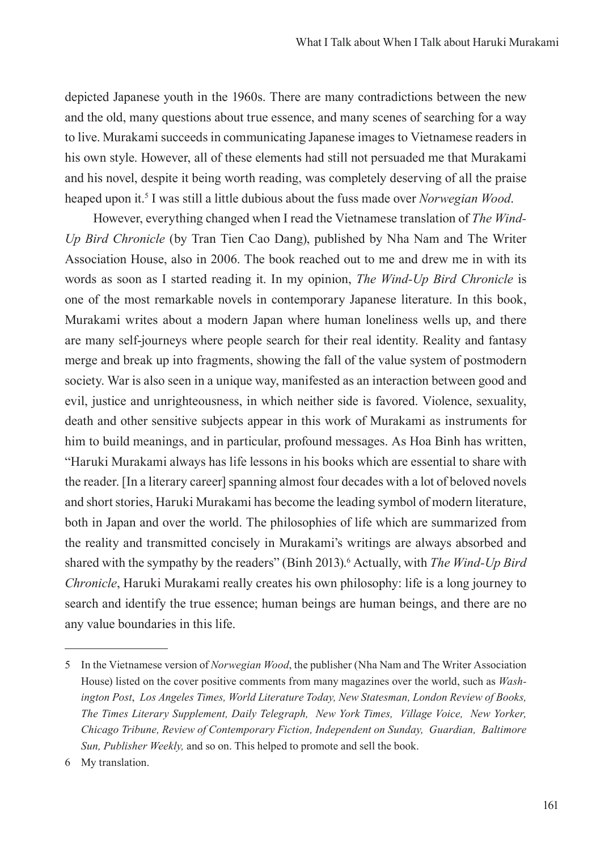depicted Japanese youth in the 1960s. There are many contradictions between the new and the old, many questions about true essence, and many scenes of searching for a way to live. Murakami succeeds in communicating Japanese images to Vietnamese readers in his own style. However, all of these elements had still not persuaded me that Murakami and his novel, despite it being worth reading, was completely deserving of all the praise heaped upon it.5 I was still a little dubious about the fuss made over *Norwegian Wood*.

However, everything changed when I read the Vietnamese translation of *The Wind-Up Bird Chronicle* (by Tran Tien Cao Dang), published by Nha Nam and The Writer Association House, also in 2006. The book reached out to me and drew me in with its words as soon as I started reading it. In my opinion, *The Wind-Up Bird Chronicle* is one of the most remarkable novels in contemporary Japanese literature. In this book, Murakami writes about a modern Japan where human loneliness wells up, and there are many self-journeys where people search for their real identity. Reality and fantasy merge and break up into fragments, showing the fall of the value system of postmodern society. War is also seen in a unique way, manifested as an interaction between good and evil, justice and unrighteousness, in which neither side is favored. Violence, sexuality, death and other sensitive subjects appear in this work of Murakami as instruments for him to build meanings, and in particular, profound messages. As Hoa Binh has written, "Haruki Murakami always has life lessons in his books which are essential to share with the reader. [In a literary career] spanning almost four decades with a lot of beloved novels and short stories, Haruki Murakami has become the leading symbol of modern literature, both in Japan and over the world. The philosophies of life which are summarized from the reality and transmitted concisely in Murakami's writings are always absorbed and shared with the sympathy by the readers" (Binh 2013).<sup>6</sup> Actually, with *The Wind-Up Bird Chronicle*, Haruki Murakami really creates his own philosophy: life is a long journey to search and identify the true essence; human beings are human beings, and there are no any value boundaries in this life.

<sup>5</sup> In the Vietnamese version of *Norwegian Wood*, the publisher (Nha Nam and The Writer Association House) listed on the cover positive comments from many magazines over the world, such as *Washington Post*, *Los Angeles Times, World Literature Today, New Statesman, London Review of Books, The Times Literary Supplement, Daily Telegraph, New York Times, Village Voice, New Yorker, Chicago Tribune, Review of Contemporary Fiction, Independent on Sunday, Guardian, Baltimore Sun, Publisher Weekly,* and so on. This helped to promote and sell the book.

<sup>6</sup> My translation.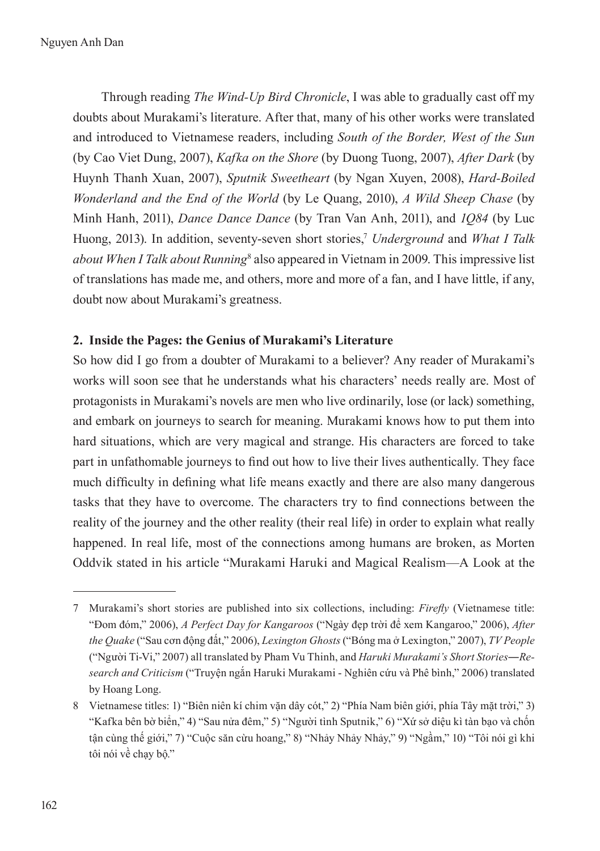Through reading *The Wind-Up Bird Chronicle*, I was able to gradually cast off my doubts about Murakami's literature. After that, many of his other works were translated and introduced to Vietnamese readers, including *South of the Border, West of the Sun* (by Cao Viet Dung, 2007), *Kafka on the Shore* (by Duong Tuong, 2007), *After Dark* (by Huynh Thanh Xuan, 2007), *Sputnik Sweetheart* (by Ngan Xuyen, 2008), *Hard-Boiled Wonderland and the End of the World* (by Le Quang, 2010), *A Wild Sheep Chase* (by Minh Hanh, 2011), *Dance Dance Dance* (by Tran Van Anh, 2011), and *1Q84* (by Luc Huong, 2013). In addition, seventy-seven short stories,7 *Underground* and *What I Talk*  about When I Talk about Running<sup>8</sup> also appeared in Vietnam in 2009. This impressive list of translations has made me, and others, more and more of a fan, and I have little, if any, doubt now about Murakami's greatness.

## **2. Inside the Pages: the Genius of Murakami's Literature**

So how did I go from a doubter of Murakami to a believer? Any reader of Murakami's works will soon see that he understands what his characters' needs really are. Most of protagonists in Murakami's novels are men who live ordinarily, lose (or lack) something, and embark on journeys to search for meaning. Murakami knows how to put them into hard situations, which are very magical and strange. His characters are forced to take part in unfathomable journeys to find out how to live their lives authentically. They face much difficulty in defining what life means exactly and there are also many dangerous tasks that they have to overcome. The characters try to find connections between the reality of the journey and the other reality (their real life) in order to explain what really happened. In real life, most of the connections among humans are broken, as Morten Oddvik stated in his article "Murakami Haruki and Magical Realism—A Look at the

<sup>7</sup> Murakami's short stories are published into six collections, including: *Firefly* (Vietnamese title: "Đom đóm," 2006), *A Perfect Day for Kangaroos* ("Ngày đẹp trời để xem Kangaroo," 2006), *After the Quake* ("Sau cơn động đất," 2006), *Lexington Ghosts* ("Bóng ma ở Lexington," 2007), *TV People* ("Người Ti-Vi," 2007) all translated by Pham Vu Thinh, and *Haruki Murakami's Short Stories―Research and Criticism* ("Truyện ngắn Haruki Murakami - Nghiên cứu và Phê bình," 2006) translated by Hoang Long.

<sup>8</sup> Vietnamese titles: 1) "Biên niên kí chim vặn dây cót," 2) "Phía Nam biên giới, phía Tây mặt trời," 3) "Kafka bên bờ biển," 4) "Sau nửa đêm," 5) "Người tình Sputnik," 6) "Xứ sở diệu kì tàn bạo và chốn tận cùng thế giới," 7) "Cuộc săn cừu hoang," 8) "Nhảy Nhảy Nhảy," 9) "Ngầm," 10) "Tôi nói gì khi tôi nói về chạy bộ."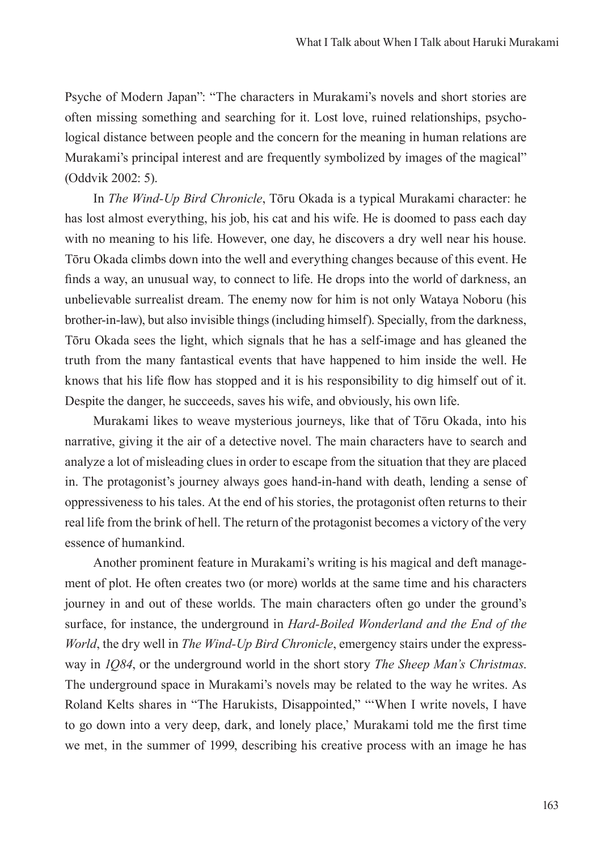Psyche of Modern Japan": "The characters in Murakami's novels and short stories are often missing something and searching for it. Lost love, ruined relationships, psychological distance between people and the concern for the meaning in human relations are Murakami's principal interest and are frequently symbolized by images of the magical" (Oddvik 2002: 5).

In *The Wind-Up Bird Chronicle*, Tōru Okada is a typical Murakami character: he has lost almost everything, his job, his cat and his wife. He is doomed to pass each day with no meaning to his life. However, one day, he discovers a dry well near his house. Tōru Okada climbs down into the well and everything changes because of this event. He finds a way, an unusual way, to connect to life. He drops into the world of darkness, an unbelievable surrealist dream. The enemy now for him is not only Wataya Noboru (his brother-in-law), but also invisible things (including himself). Specially, from the darkness, Tōru Okada sees the light, which signals that he has a self-image and has gleaned the truth from the many fantastical events that have happened to him inside the well. He knows that his life flow has stopped and it is his responsibility to dig himself out of it. Despite the danger, he succeeds, saves his wife, and obviously, his own life.

Murakami likes to weave mysterious journeys, like that of Tōru Okada, into his narrative, giving it the air of a detective novel. The main characters have to search and analyze a lot of misleading clues in order to escape from the situation that they are placed in. The protagonist's journey always goes hand-in-hand with death, lending a sense of oppressiveness to his tales. At the end of his stories, the protagonist often returns to their real life from the brink of hell. The return of the protagonist becomes a victory of the very essence of humankind.

Another prominent feature in Murakami's writing is his magical and deft management of plot. He often creates two (or more) worlds at the same time and his characters journey in and out of these worlds. The main characters often go under the ground's surface, for instance, the underground in *Hard-Boiled Wonderland and the End of the World*, the dry well in *The Wind-Up Bird Chronicle*, emergency stairs under the expressway in *1Q84*, or the underground world in the short story *The Sheep Man's Christmas*. The underground space in Murakami's novels may be related to the way he writes. As Roland Kelts shares in "The Harukists, Disappointed," "'When I write novels, I have to go down into a very deep, dark, and lonely place,' Murakami told me the first time we met, in the summer of 1999, describing his creative process with an image he has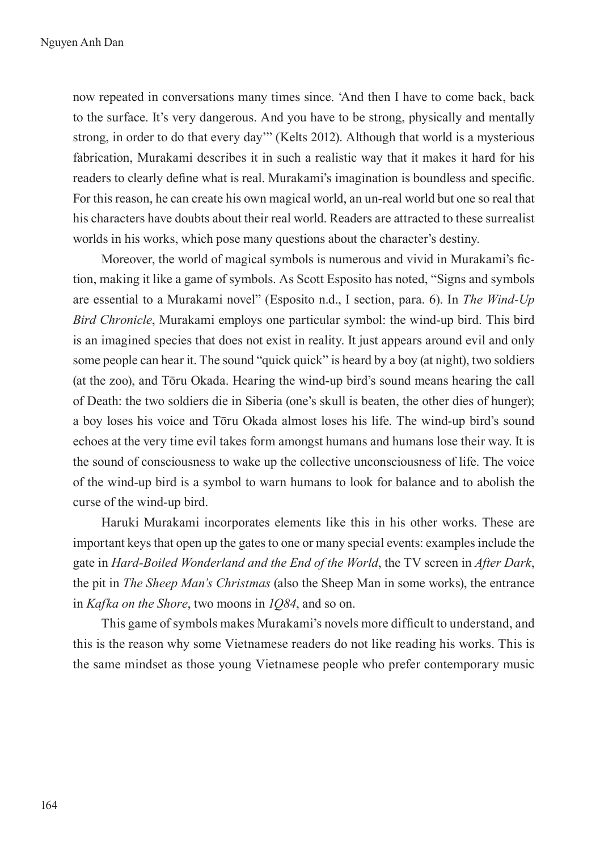now repeated in conversations many times since. 'And then I have to come back, back to the surface. It's very dangerous. And you have to be strong, physically and mentally strong, in order to do that every day'" (Kelts 2012). Although that world is a mysterious fabrication, Murakami describes it in such a realistic way that it makes it hard for his readers to clearly define what is real. Murakami's imagination is boundless and specific. For this reason, he can create his own magical world, an un-real world but one so real that his characters have doubts about their real world. Readers are attracted to these surrealist worlds in his works, which pose many questions about the character's destiny.

Moreover, the world of magical symbols is numerous and vivid in Murakami's fiction, making it like a game of symbols. As Scott Esposito has noted, "Signs and symbols are essential to a Murakami novel" (Esposito n.d., I section, para. 6). In *The Wind-Up Bird Chronicle*, Murakami employs one particular symbol: the wind-up bird. This bird is an imagined species that does not exist in reality. It just appears around evil and only some people can hear it. The sound "quick quick" is heard by a boy (at night), two soldiers (at the zoo), and Tōru Okada. Hearing the wind-up bird's sound means hearing the call of Death: the two soldiers die in Siberia (one's skull is beaten, the other dies of hunger); a boy loses his voice and Tōru Okada almost loses his life. The wind-up bird's sound echoes at the very time evil takes form amongst humans and humans lose their way. It is the sound of consciousness to wake up the collective unconsciousness of life. The voice of the wind-up bird is a symbol to warn humans to look for balance and to abolish the curse of the wind-up bird.

Haruki Murakami incorporates elements like this in his other works. These are important keys that open up the gates to one or many special events: examples include the gate in *Hard-Boiled Wonderland and the End of the World*, the TV screen in *After Dark*, the pit in *The Sheep Man's Christmas* (also the Sheep Man in some works), the entrance in *Kafka on the Shore*, two moons in *1Q84*, and so on.

This game of symbols makes Murakami's novels more difficult to understand, and this is the reason why some Vietnamese readers do not like reading his works. This is the same mindset as those young Vietnamese people who prefer contemporary music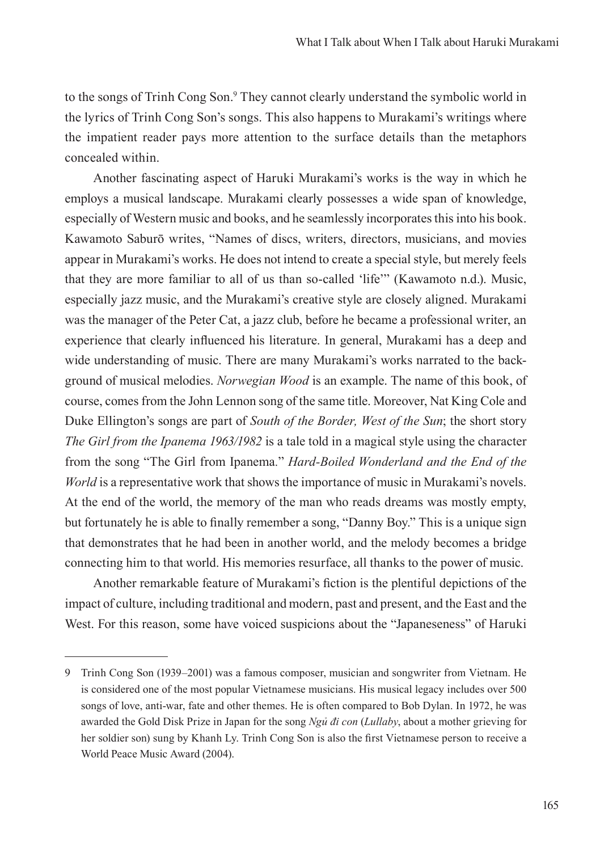to the songs of Trinh Cong Son.<sup>9</sup> They cannot clearly understand the symbolic world in the lyrics of Trinh Cong Son's songs. This also happens to Murakami's writings where the impatient reader pays more attention to the surface details than the metaphors concealed within.

Another fascinating aspect of Haruki Murakami's works is the way in which he employs a musical landscape. Murakami clearly possesses a wide span of knowledge, especially of Western music and books, and he seamlessly incorporates this into his book. Kawamoto Saburō writes, "Names of discs, writers, directors, musicians, and movies appear in Murakami's works. He does not intend to create a special style, but merely feels that they are more familiar to all of us than so-called 'life'" (Kawamoto n.d.). Music, especially jazz music, and the Murakami's creative style are closely aligned. Murakami was the manager of the Peter Cat, a jazz club, before he became a professional writer, an experience that clearly influenced his literature. In general, Murakami has a deep and wide understanding of music. There are many Murakami's works narrated to the background of musical melodies. *Norwegian Wood* is an example. The name of this book, of course, comes from the John Lennon song of the same title. Moreover, Nat King Cole and Duke Ellington's songs are part of *South of the Border, West of the Sun*; the short story *The Girl from the Ipanema 1963/1982* is a tale told in a magical style using the character from the song "The Girl from Ipanema*.*" *Hard-Boiled Wonderland and the End of the World* is a representative work that shows the importance of music in Murakami's novels. At the end of the world, the memory of the man who reads dreams was mostly empty, but fortunately he is able to finally remember a song, "Danny Boy." This is a unique sign that demonstrates that he had been in another world, and the melody becomes a bridge connecting him to that world. His memories resurface, all thanks to the power of music.

Another remarkable feature of Murakami's fiction is the plentiful depictions of the impact of culture, including traditional and modern, past and present, and the East and the West. For this reason, some have voiced suspicions about the "Japaneseness" of Haruki

<sup>9</sup> Trinh Cong Son (1939–2001) was a famous composer, musician and songwriter from Vietnam. He is considered one of the most popular Vietnamese musicians. His musical legacy includes over 500 songs of love, anti-war, fate and other themes. He is often compared to Bob Dylan. In 1972, he was awarded the Gold Disk Prize in Japan for the song *Ngủ đi con* (*Lullaby*, about a mother grieving for her soldier son) sung by Khanh Ly. Trinh Cong Son is also the first Vietnamese person to receive a World Peace Music Award (2004).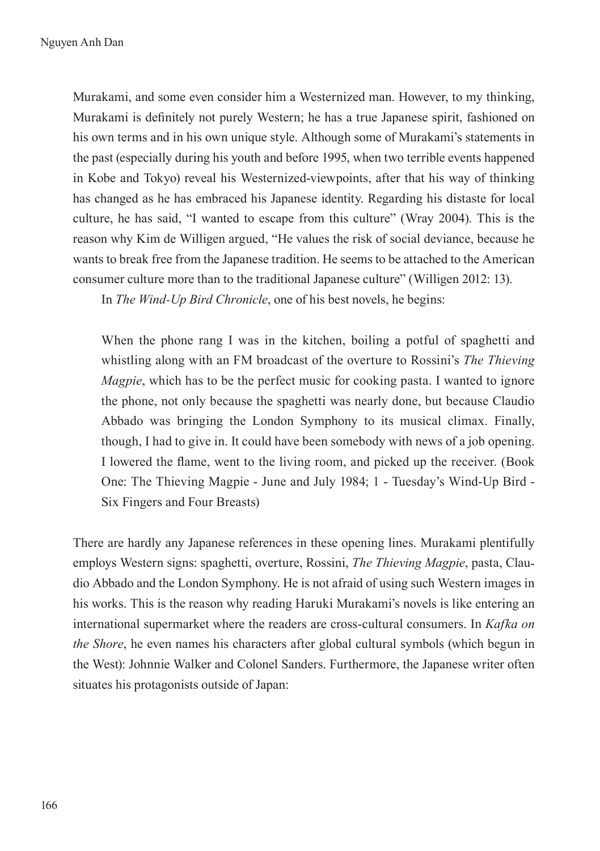Murakami, and some even consider him a Westernized man. However, to my thinking, Murakami is definitely not purely Western; he has a true Japanese spirit, fashioned on his own terms and in his own unique style. Although some of Murakami's statements in the past (especially during his youth and before 1995, when two terrible events happened in Kobe and Tokyo) reveal his Westernized-viewpoints, after that his way of thinking has changed as he has embraced his Japanese identity. Regarding his distaste for local culture, he has said, "I wanted to escape from this culture" (Wray 2004). This is the reason why Kim de Willigen argued, "He values the risk of social deviance, because he wants to break free from the Japanese tradition. He seems to be attached to the American consumer culture more than to the traditional Japanese culture" (Willigen 2012: 13).

In *The Wind-Up Bird Chronicle*, one of his best novels, he begins:

When the phone rang I was in the kitchen, boiling a potful of spaghetti and whistling along with an FM broadcast of the overture to Rossini's *The Thieving Magpie*, which has to be the perfect music for cooking pasta. I wanted to ignore the phone, not only because the spaghetti was nearly done, but because Claudio Abbado was bringing the London Symphony to its musical climax. Finally, though, I had to give in. It could have been somebody with news of a job opening. I lowered the flame, went to the living room, and picked up the receiver. (Book One: The Thieving Magpie - June and July 1984; 1 - Tuesday's Wind-Up Bird - Six Fingers and Four Breasts)

There are hardly any Japanese references in these opening lines. Murakami plentifully employs Western signs: spaghetti, overture, Rossini, *The Thieving Magpie*, pasta, Claudio Abbado and the London Symphony. He is not afraid of using such Western images in his works. This is the reason why reading Haruki Murakami's novels is like entering an international supermarket where the readers are cross-cultural consumers. In *Kafka on the Shore*, he even names his characters after global cultural symbols (which begun in the West): Johnnie Walker and Colonel Sanders. Furthermore, the Japanese writer often situates his protagonists outside of Japan: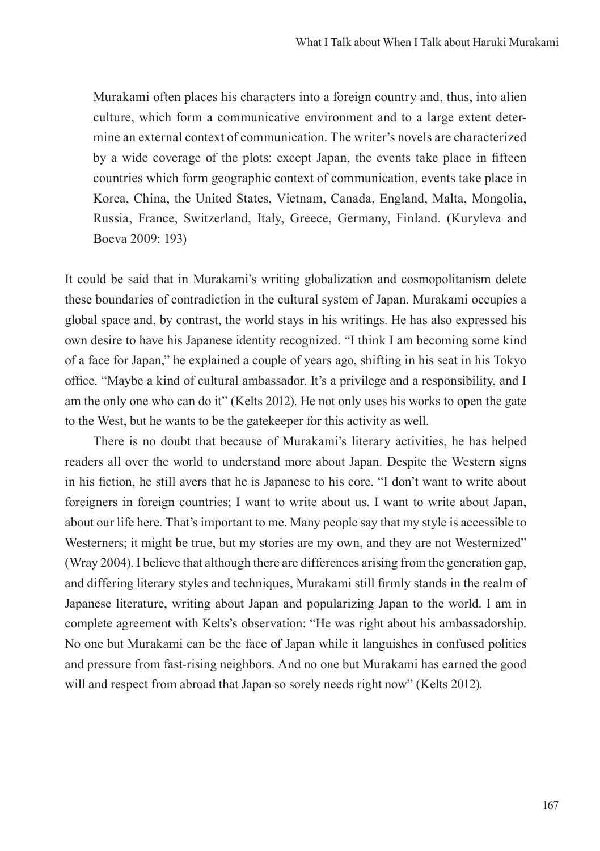Murakami often places his characters into a foreign country and, thus, into alien culture, which form a communicative environment and to a large extent determine an external context of communication. The writer's novels are characterized by a wide coverage of the plots: except Japan, the events take place in fifteen countries which form geographic context of communication, events take place in Korea, China, the United States, Vietnam, Canada, England, Malta, Mongolia, Russia, France, Switzerland, Italy, Greece, Germany, Finland. (Kuryleva and Boeva 2009: 193)

It could be said that in Murakami's writing globalization and cosmopolitanism delete these boundaries of contradiction in the cultural system of Japan. Murakami occupies a global space and, by contrast, the world stays in his writings. He has also expressed his own desire to have his Japanese identity recognized. "I think I am becoming some kind of a face for Japan," he explained a couple of years ago, shifting in his seat in his Tokyo office. "Maybe a kind of cultural ambassador. It's a privilege and a responsibility, and I am the only one who can do it" (Kelts 2012). He not only uses his works to open the gate to the West, but he wants to be the gatekeeper for this activity as well.

There is no doubt that because of Murakami's literary activities, he has helped readers all over the world to understand more about Japan. Despite the Western signs in his fiction, he still avers that he is Japanese to his core. "I don't want to write about foreigners in foreign countries; I want to write about us. I want to write about Japan, about our life here. That's important to me. Many people say that my style is accessible to Westerners; it might be true, but my stories are my own, and they are not Westernized" (Wray 2004). I believe that although there are differences arising from the generation gap, and differing literary styles and techniques, Murakami still firmly stands in the realm of Japanese literature, writing about Japan and popularizing Japan to the world. I am in complete agreement with Kelts's observation: "He was right about his ambassadorship. No one but Murakami can be the face of Japan while it languishes in confused politics and pressure from fast-rising neighbors. And no one but Murakami has earned the good will and respect from abroad that Japan so sorely needs right now" (Kelts 2012).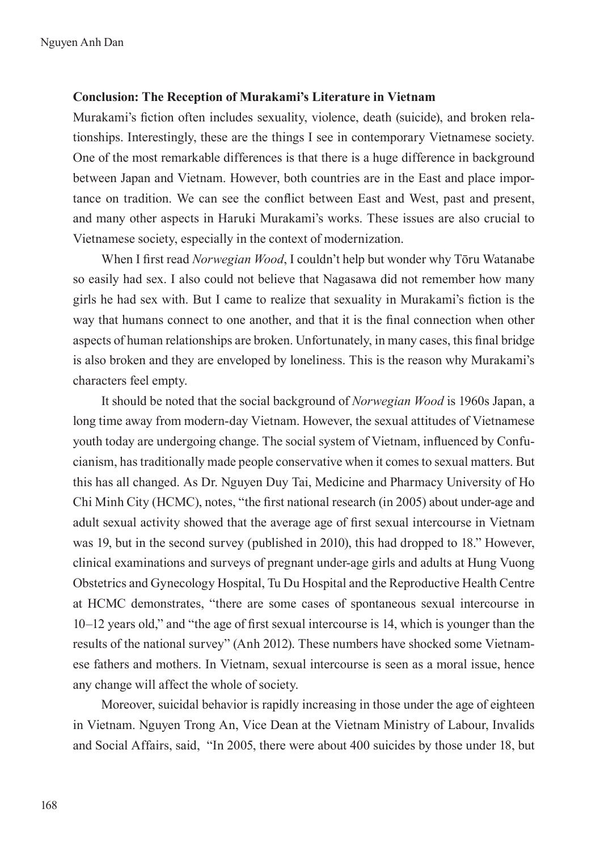#### **Conclusion: The Reception of Murakami's Literature in Vietnam**

Murakami's fiction often includes sexuality, violence, death (suicide), and broken relationships. Interestingly, these are the things I see in contemporary Vietnamese society. One of the most remarkable differences is that there is a huge difference in background between Japan and Vietnam. However, both countries are in the East and place importance on tradition. We can see the conflict between East and West, past and present, and many other aspects in Haruki Murakami's works. These issues are also crucial to Vietnamese society, especially in the context of modernization.

When I first read *Norwegian Wood*, I couldn't help but wonder why Tōru Watanabe so easily had sex. I also could not believe that Nagasawa did not remember how many girls he had sex with. But I came to realize that sexuality in Murakami's fiction is the way that humans connect to one another, and that it is the final connection when other aspects of human relationships are broken. Unfortunately, in many cases, this final bridge is also broken and they are enveloped by loneliness. This is the reason why Murakami's characters feel empty.

It should be noted that the social background of *Norwegian Wood* is 1960s Japan, a long time away from modern-day Vietnam. However, the sexual attitudes of Vietnamese youth today are undergoing change. The social system of Vietnam, influenced by Confucianism, has traditionally made people conservative when it comes to sexual matters. But this has all changed. As Dr. Nguyen Duy Tai, Medicine and Pharmacy University of Ho Chi Minh City (HCMC), notes, "the first national research (in 2005) about under-age and adult sexual activity showed that the average age of first sexual intercourse in Vietnam was 19, but in the second survey (published in 2010), this had dropped to 18." However, clinical examinations and surveys of pregnant under-age girls and adults at Hung Vuong Obstetrics and Gynecology Hospital, Tu Du Hospital and the Reproductive Health Centre at HCMC demonstrates, "there are some cases of spontaneous sexual intercourse in 10–12 years old," and "the age of first sexual intercourse is 14, which is younger than the results of the national survey" (Anh 2012). These numbers have shocked some Vietnamese fathers and mothers. In Vietnam, sexual intercourse is seen as a moral issue, hence any change will affect the whole of society.

Moreover, suicidal behavior is rapidly increasing in those under the age of eighteen in Vietnam. Nguyen Trong An, Vice Dean at the Vietnam Ministry of Labour, Invalids and Social Affairs, said, "In 2005, there were about 400 suicides by those under 18, but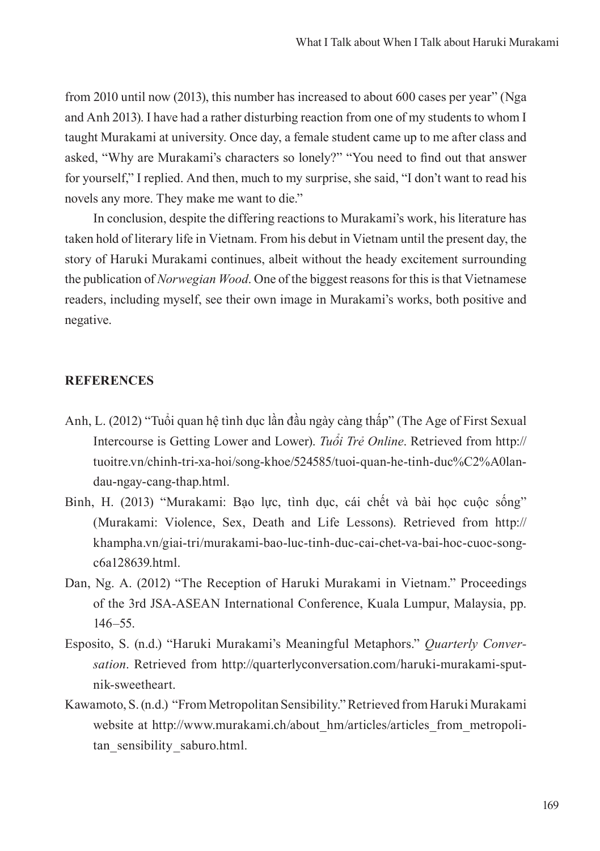from 2010 until now (2013), this number has increased to about 600 cases per year" (Nga and Anh 2013). I have had a rather disturbing reaction from one of my students to whom I taught Murakami at university. Once day, a female student came up to me after class and asked, "Why are Murakami's characters so lonely?" "You need to find out that answer for yourself," I replied. And then, much to my surprise, she said, "I don't want to read his novels any more. They make me want to die."

In conclusion, despite the differing reactions to Murakami's work, his literature has taken hold of literary life in Vietnam. From his debut in Vietnam until the present day, the story of Haruki Murakami continues, albeit without the heady excitement surrounding the publication of *Norwegian Wood*. One of the biggest reasons for this is that Vietnamese readers, including myself, see their own image in Murakami's works, both positive and negative.

### **REFERENCES**

- Anh, L. (2012) "Tuổi quan hệ tình dục lần đầu ngày càng thấp" (The Age of First Sexual Intercourse is Getting Lower and Lower). *Tuổi Trẻ Online*. Retrieved from http:// tuoitre.vn/chinh-tri-xa-hoi/song-khoe/524585/tuoi-quan-he-tinh-duc%C2%A0landau-ngay-cang-thap.html.
- Binh, H. (2013) "Murakami: Bao lực, tình dục, cái chết và bài học cuộc sống" (Murakami: Violence, Sex, Death and Life Lessons). Retrieved from http:// khampha.vn/giai-tri/murakami-bao-luc-tinh-duc-cai-chet-va-bai-hoc-cuoc-songc6a128639.html.
- Dan, Ng. A. (2012) "The Reception of Haruki Murakami in Vietnam." Proceedings of the 3rd JSA-ASEAN International Conference, Kuala Lumpur, Malaysia, pp. 146–55.
- Esposito, S. (n.d.) "Haruki Murakami's Meaningful Metaphors." *Quarterly Conversation*. Retrieved from http://quarterlyconversation.com/haruki-murakami-sputnik-sweetheart.
- Kawamoto, S. (n.d.) "From Metropolitan Sensibility." Retrieved from Haruki Murakami website at http://www.murakami.ch/about\_hm/articles/articles\_from\_metropolitan\_sensibility\_saburo.html.